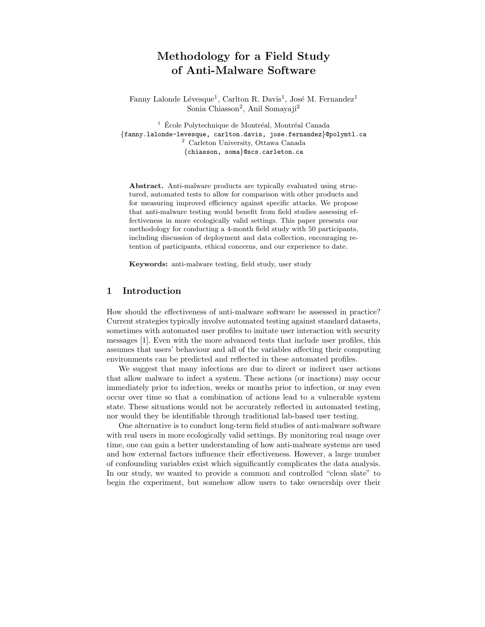# Methodology for a Field Study of Anti-Malware Software

Fanny Lalonde Lévesque<sup>1</sup>, Carlton R. Davis<sup>1</sup>, José M. Fernandez<sup>1</sup> Sonia Chiasson<sup>2</sup>, Anil Somayaji<sup>2</sup>

 $1 \nightharpoonup$  École Polytechnique de Montréal, Montréal Canada {fanny.lalonde-levesque, carlton.davis, jose.fernandez}@polymtl.ca <sup>2</sup> Carleton University, Ottawa Canada {chiasson, soma}@scs.carleton.ca

Abstract. Anti-malware products are typically evaluated using structured, automated tests to allow for comparison with other products and for measuring improved efficiency against specific attacks. We propose that anti-malware testing would benefit from field studies assessing effectiveness in more ecologically valid settings. This paper presents our methodology for conducting a 4-month field study with 50 participants, including discussion of deployment and data collection, encouraging retention of participants, ethical concerns, and our experience to date.

Keywords: anti-malware testing, field study, user study

# 1 Introduction

How should the effectiveness of anti-malware software be assessed in practice? Current strategies typically involve automated testing against standard datasets, sometimes with automated user profiles to imitate user interaction with security messages [1]. Even with the more advanced tests that include user profiles, this assumes that users' behaviour and all of the variables affecting their computing environments can be predicted and reflected in these automated profiles.

We suggest that many infections are due to direct or indirect user actions that allow malware to infect a system. These actions (or inactions) may occur immediately prior to infection, weeks or months prior to infection, or may even occur over time so that a combination of actions lead to a vulnerable system state. These situations would not be accurately reflected in automated testing, nor would they be identifiable through traditional lab-based user testing.

One alternative is to conduct long-term field studies of anti-malware software with real users in more ecologically valid settings. By monitoring real usage over time, one can gain a better understanding of how anti-malware systems are used and how external factors influence their effectiveness. However, a large number of confounding variables exist which significantly complicates the data analysis. In our study, we wanted to provide a common and controlled "clean slate" to begin the experiment, but somehow allow users to take ownership over their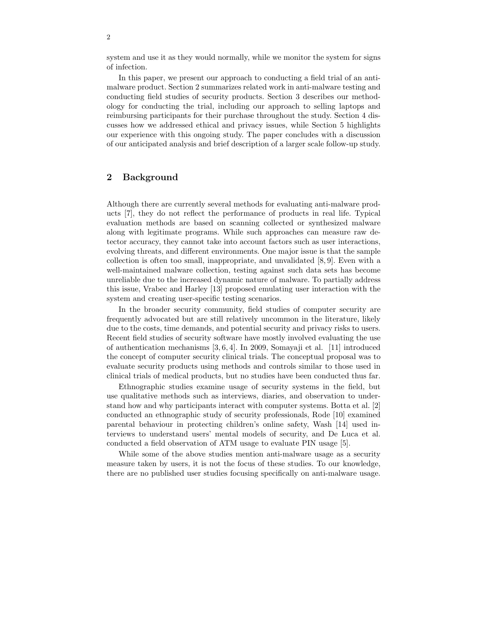system and use it as they would normally, while we monitor the system for signs of infection.

In this paper, we present our approach to conducting a field trial of an antimalware product. Section 2 summarizes related work in anti-malware testing and conducting field studies of security products. Section 3 describes our methodology for conducting the trial, including our approach to selling laptops and reimbursing participants for their purchase throughout the study. Section 4 discusses how we addressed ethical and privacy issues, while Section 5 highlights our experience with this ongoing study. The paper concludes with a discussion of our anticipated analysis and brief description of a larger scale follow-up study.

# 2 Background

Although there are currently several methods for evaluating anti-malware products [7], they do not reflect the performance of products in real life. Typical evaluation methods are based on scanning collected or synthesized malware along with legitimate programs. While such approaches can measure raw detector accuracy, they cannot take into account factors such as user interactions, evolving threats, and different environments. One major issue is that the sample collection is often too small, inappropriate, and unvalidated [8, 9]. Even with a well-maintained malware collection, testing against such data sets has become unreliable due to the increased dynamic nature of malware. To partially address this issue, Vrabec and Harley [13] proposed emulating user interaction with the system and creating user-specific testing scenarios.

In the broader security community, field studies of computer security are frequently advocated but are still relatively uncommon in the literature, likely due to the costs, time demands, and potential security and privacy risks to users. Recent field studies of security software have mostly involved evaluating the use of authentication mechanisms [3, 6, 4]. In 2009, Somayaji et al. [11] introduced the concept of computer security clinical trials. The conceptual proposal was to evaluate security products using methods and controls similar to those used in clinical trials of medical products, but no studies have been conducted thus far.

Ethnographic studies examine usage of security systems in the field, but use qualitative methods such as interviews, diaries, and observation to understand how and why participants interact with computer systems. Botta et al. [2] conducted an ethnographic study of security professionals, Rode [10] examined parental behaviour in protecting children's online safety, Wash [14] used interviews to understand users' mental models of security, and De Luca et al. conducted a field observation of ATM usage to evaluate PIN usage [5].

While some of the above studies mention anti-malware usage as a security measure taken by users, it is not the focus of these studies. To our knowledge, there are no published user studies focusing specifically on anti-malware usage.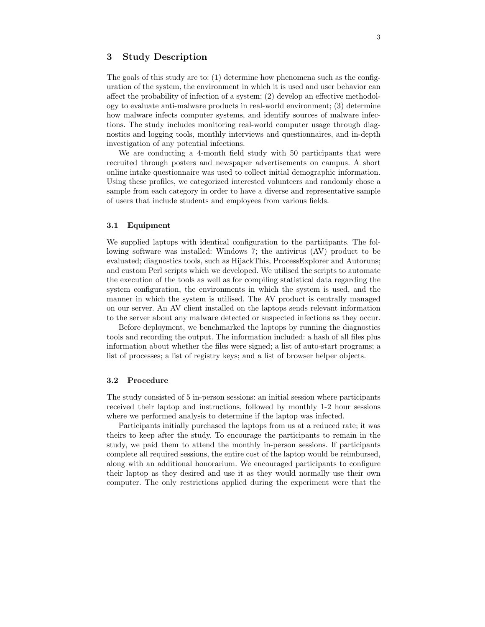# 3 Study Description

The goals of this study are to: (1) determine how phenomena such as the configuration of the system, the environment in which it is used and user behavior can affect the probability of infection of a system; (2) develop an effective methodology to evaluate anti-malware products in real-world environment; (3) determine how malware infects computer systems, and identify sources of malware infections. The study includes monitoring real-world computer usage through diagnostics and logging tools, monthly interviews and questionnaires, and in-depth investigation of any potential infections.

We are conducting a 4-month field study with 50 participants that were recruited through posters and newspaper advertisements on campus. A short online intake questionnaire was used to collect initial demographic information. Using these profiles, we categorized interested volunteers and randomly chose a sample from each category in order to have a diverse and representative sample of users that include students and employees from various fields.

#### 3.1 Equipment

We supplied laptops with identical configuration to the participants. The following software was installed: Windows 7; the antivirus (AV) product to be evaluated; diagnostics tools, such as HijackThis, ProcessExplorer and Autoruns; and custom Perl scripts which we developed. We utilised the scripts to automate the execution of the tools as well as for compiling statistical data regarding the system configuration, the environments in which the system is used, and the manner in which the system is utilised. The AV product is centrally managed on our server. An AV client installed on the laptops sends relevant information to the server about any malware detected or suspected infections as they occur.

Before deployment, we benchmarked the laptops by running the diagnostics tools and recording the output. The information included: a hash of all files plus information about whether the files were signed; a list of auto-start programs; a list of processes; a list of registry keys; and a list of browser helper objects.

#### 3.2 Procedure

The study consisted of 5 in-person sessions: an initial session where participants received their laptop and instructions, followed by monthly 1-2 hour sessions where we performed analysis to determine if the laptop was infected.

Participants initially purchased the laptops from us at a reduced rate; it was theirs to keep after the study. To encourage the participants to remain in the study, we paid them to attend the monthly in-person sessions. If participants complete all required sessions, the entire cost of the laptop would be reimbursed, along with an additional honorarium. We encouraged participants to configure their laptop as they desired and use it as they would normally use their own computer. The only restrictions applied during the experiment were that the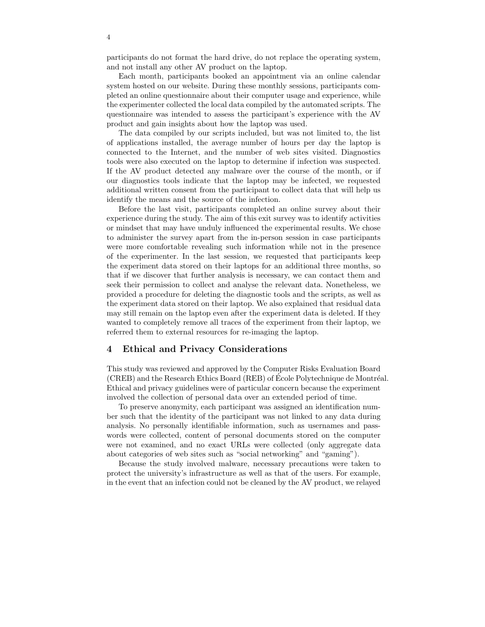participants do not format the hard drive, do not replace the operating system, and not install any other AV product on the laptop.

Each month, participants booked an appointment via an online calendar system hosted on our website. During these monthly sessions, participants completed an online questionnaire about their computer usage and experience, while the experimenter collected the local data compiled by the automated scripts. The questionnaire was intended to assess the participant's experience with the AV product and gain insights about how the laptop was used.

The data compiled by our scripts included, but was not limited to, the list of applications installed, the average number of hours per day the laptop is connected to the Internet, and the number of web sites visited. Diagnostics tools were also executed on the laptop to determine if infection was suspected. If the AV product detected any malware over the course of the month, or if our diagnostics tools indicate that the laptop may be infected, we requested additional written consent from the participant to collect data that will help us identify the means and the source of the infection.

Before the last visit, participants completed an online survey about their experience during the study. The aim of this exit survey was to identify activities or mindset that may have unduly influenced the experimental results. We chose to administer the survey apart from the in-person session in case participants were more comfortable revealing such information while not in the presence of the experimenter. In the last session, we requested that participants keep the experiment data stored on their laptops for an additional three months, so that if we discover that further analysis is necessary, we can contact them and seek their permission to collect and analyse the relevant data. Nonetheless, we provided a procedure for deleting the diagnostic tools and the scripts, as well as the experiment data stored on their laptop. We also explained that residual data may still remain on the laptop even after the experiment data is deleted. If they wanted to completely remove all traces of the experiment from their laptop, we referred them to external resources for re-imaging the laptop.

## 4 Ethical and Privacy Considerations

This study was reviewed and approved by the Computer Risks Evaluation Board (CREB) and the Research Ethics Board (REB) of Ecole Polytechnique de Montréal. Ethical and privacy guidelines were of particular concern because the experiment involved the collection of personal data over an extended period of time.

To preserve anonymity, each participant was assigned an identification number such that the identity of the participant was not linked to any data during analysis. No personally identifiable information, such as usernames and passwords were collected, content of personal documents stored on the computer were not examined, and no exact URLs were collected (only aggregate data about categories of web sites such as "social networking" and "gaming").

Because the study involved malware, necessary precautions were taken to protect the university's infrastructure as well as that of the users. For example, in the event that an infection could not be cleaned by the AV product, we relayed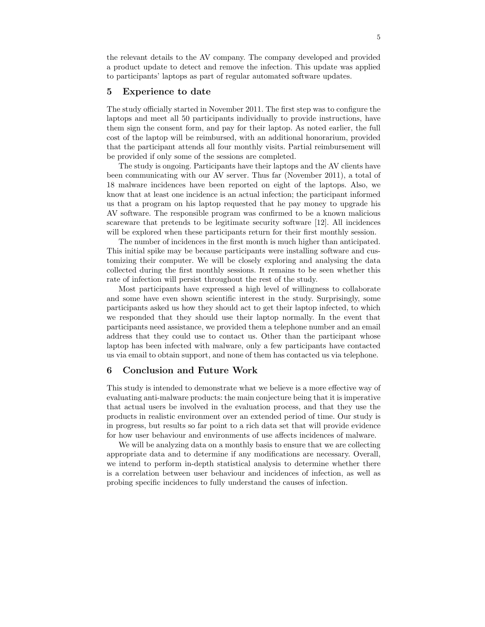the relevant details to the AV company. The company developed and provided a product update to detect and remove the infection. This update was applied to participants' laptops as part of regular automated software updates.

#### 5 Experience to date

The study officially started in November 2011. The first step was to configure the laptops and meet all 50 participants individually to provide instructions, have them sign the consent form, and pay for their laptop. As noted earlier, the full cost of the laptop will be reimbursed, with an additional honorarium, provided that the participant attends all four monthly visits. Partial reimbursement will be provided if only some of the sessions are completed.

The study is ongoing. Participants have their laptops and the AV clients have been communicating with our AV server. Thus far (November 2011), a total of 18 malware incidences have been reported on eight of the laptops. Also, we know that at least one incidence is an actual infection; the participant informed us that a program on his laptop requested that he pay money to upgrade his AV software. The responsible program was confirmed to be a known malicious scareware that pretends to be legitimate security software [12]. All incidences will be explored when these participants return for their first monthly session.

The number of incidences in the first month is much higher than anticipated. This initial spike may be because participants were installing software and customizing their computer. We will be closely exploring and analysing the data collected during the first monthly sessions. It remains to be seen whether this rate of infection will persist throughout the rest of the study.

Most participants have expressed a high level of willingness to collaborate and some have even shown scientific interest in the study. Surprisingly, some participants asked us how they should act to get their laptop infected, to which we responded that they should use their laptop normally. In the event that participants need assistance, we provided them a telephone number and an email address that they could use to contact us. Other than the participant whose laptop has been infected with malware, only a few participants have contacted us via email to obtain support, and none of them has contacted us via telephone.

## 6 Conclusion and Future Work

This study is intended to demonstrate what we believe is a more effective way of evaluating anti-malware products: the main conjecture being that it is imperative that actual users be involved in the evaluation process, and that they use the products in realistic environment over an extended period of time. Our study is in progress, but results so far point to a rich data set that will provide evidence for how user behaviour and environments of use affects incidences of malware.

We will be analyzing data on a monthly basis to ensure that we are collecting appropriate data and to determine if any modifications are necessary. Overall, we intend to perform in-depth statistical analysis to determine whether there is a correlation between user behaviour and incidences of infection, as well as probing specific incidences to fully understand the causes of infection.